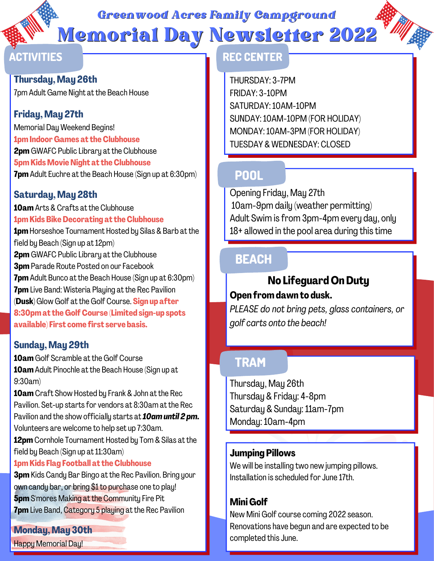*Greenwood Acres Family Campground*

Memorial Day Newsletter 2022

**Thursday, May 26th**

# 7pm Adult Game Night at the Beach House

# **Friday, May 27th**

Memorial Day Weekend Begins! **1pmIndoor Games at theClubhouse 2pm** GWAFC Public Library at the Clubhouse **5pm Kids Movie Night at the Clubhouse 7pm**Adult Euchre at the Beach House (Sign up at 6:30pm)

#### **Saturday, May 28th**

**10am** Arts & Crafts at the Clubhouse **1pmKids BikeDecorating at theClubhouse 1pm**Horseshoe Tournament Hosted by Silas & Barb at the field by Beach (Sign up at 12pm) **2pm** GWAFC Public Library at the Clubhouse **3pm** Parade Route Posted on our Facebook **7pm** Adult Bunco at the Beach House (Sign up at 6:30pm) **7pm** Live Band: Wisteria Playing at the Rec Pavilion (**Dusk)**Glow Golf at the Golf Course. **Sign up after 8:30pmat the GolfCourse (Limited sign-up spots available) First come first serve basis.**

# **Sunday, May 29th**

**10am** Golf Scramble at the Golf Course **10am**Adult Pinochle at the Beach House (Sign up at 9:30am)

**10am** Craft Show Hosted by Frank & John at the Rec Pavilion. Set-up starts for vendors at 8:30am at the Rec Pavilion and the show officially starts at *10amuntil 2 pm.* Volunteers are welcome to help set up 7:30am.

**12pm** Cornhole Tournament Hosted by Tom & Silas at the field by Beach (Sign up at  $11:30$ am)

#### **1pmKids Flag Football at theClubhouse**

**3pm** Kids Candy Bar Bingo at the Rec Pavilion. Bring your own candy bar, or bring \$1 to purchase one to play! **5pm** S'mores Making at the Community Fire Pit **7pm** Live Band, Category 5 playing at the Rec Pavilion

# **Monday, May 30th**

Happy Memorial Day!

# **ACTIVITIES REC CENTER**

THURSDAY: 3-7PM FRIDAY: 3-10PM SATURDAY:10AM-10PM SUNDAY:10AM-10PM (FOR HOLIDAY) MONDAY:10AM-3PM (FOR HOLIDAY) TUESDAY & WEDNESDAY: CLOSED

# **POOL**

Opening Friday, May 27th 10am-9pm daily (weather permitting) Adult Swim is from 3pm-4pm every day, only 18+ allowed in the pool area during this time

# **BEACH**

# **No Lifeguard OnDuty**

#### **Open fromdawn to dusk.**

*PLEASE do not bring pets, glass containers, or golf carts onto the beach!*

# **TRAM**

Thursday, May 26th Thursday & Friday: 4-8pm Saturday & Sunday: 11am-7pm Monday:10am-4pm

#### **Jumping Pillows**

We will be installing two new jumping pillows. Installation is scheduled for June 17th.

# **Mini Golf**

New Mini Golf course coming 2022 season. Renovations have begun and are expected to be completed this June.